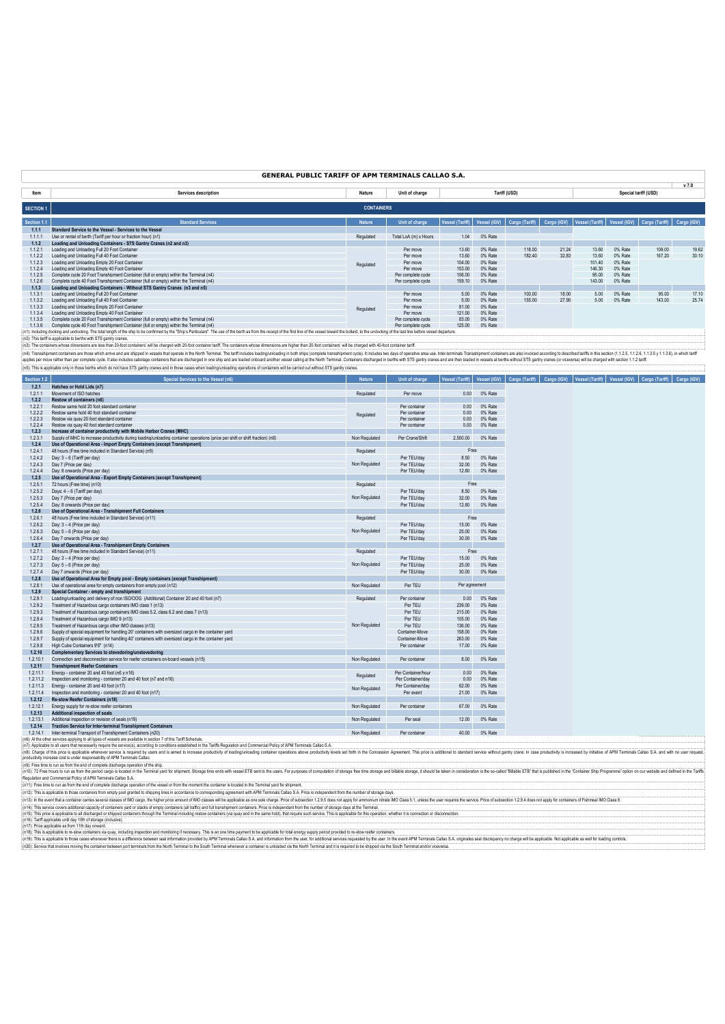## **GENERAL PUBLIC TARIFF OF APM TERMINALS CALLAO S.A.**

|                  |                                                                                                                                                                                                                                |                   |                       |                 |              |                |             |                                             |         |                      | v 7.0       |
|------------------|--------------------------------------------------------------------------------------------------------------------------------------------------------------------------------------------------------------------------------|-------------------|-----------------------|-----------------|--------------|----------------|-------------|---------------------------------------------|---------|----------------------|-------------|
| ltem             | Services description                                                                                                                                                                                                           | Nature            | Unit of charge        |                 |              | Tariff (USD)   |             |                                             |         | Special tariff (USD) |             |
| <b>SECTION 1</b> |                                                                                                                                                                                                                                | <b>CONTAINERS</b> |                       |                 |              |                |             |                                             |         |                      |             |
| Section 1.1      | <b>Standard Services</b>                                                                                                                                                                                                       | <b>Nature</b>     | Unit of charge        | Vessel (Tariff) | Vessel (IGV) | Cargo (Tariff) | Cargo (IGV) | Vessel (Tariff) Vessel (IGV) Cargo (Tariff) |         |                      | Cargo (IGV) |
| 1.1.1            | Standard Service to the Vessel - Services to the Vessel                                                                                                                                                                        |                   |                       |                 |              |                |             |                                             |         |                      |             |
| 1.1.1.1          | Use or rental of berth (Tariff per hour or fraction hour) (n1)                                                                                                                                                                 | Regulated         | Total LoA (m) x Hours | 1.04            | 0% Rate      |                |             |                                             |         |                      |             |
| 1.1.2            | Loading and Unloading Containers - STS Gantry Cranes (n2 and n3)                                                                                                                                                               |                   |                       |                 |              |                |             |                                             |         |                      |             |
| 1121             | Loading and Unloading Full 20 Foot Container                                                                                                                                                                                   |                   | Per move              | 13.60           | 0% Rate      | 118.00         | 21.24       | 13.60                                       | 0% Rate | 109.00               | 19.62       |
| 1122             | Loading and Unloading Full 40 Foot Container                                                                                                                                                                                   |                   | Per move              | 13.60           | 0% Rate      | 182.40         | 32.83       | 13.60                                       | 0% Rate | 167.20               | 30.10       |
| 1.1.2.3          | Loading and Unloading Empty 20 Foot Container                                                                                                                                                                                  | Regulated         | Per move              | 104.00          | 0% Rate      |                |             | 101.40                                      | 0% Rate |                      |             |
| 1.1.2.4          | Loading and Unloading Empty 40 Foot Container                                                                                                                                                                                  |                   | Per move              | 153.00          | 0% Rate      |                |             | 146.30                                      | 0% Rate |                      |             |
| 1125             | Complete cycle 20 Foot Transhipment Container (full or empty) within the Terminal (n4)                                                                                                                                         |                   | Per complete cycle    | 106.00          | 0% Rate      |                |             | 95.00                                       | 0% Rate |                      |             |
| 1126             | Complete cycle 40 Foot Transhipment Container (full or empty) within the Terminal (n4)                                                                                                                                         |                   | Per complete cycle    | 159.10          | 0% Rate      |                |             | 143.00                                      | 0% Rate |                      |             |
| 1.1.3            | Loading and Unloading Containers - Without STS Gantry Cranes (n3 and n5)                                                                                                                                                       |                   |                       |                 |              |                |             |                                             |         |                      |             |
| 1.1.3.1          | Loading and Unloading Full 20 Foot Container                                                                                                                                                                                   |                   | Per move              | 5.00            | 0% Rate      | 100.00         | 18.00       | 5.00                                        | 0% Rate | 95.00                | 17.10       |
| 1.1.3.2          | Loading and Unloading Full 40 Foot Container                                                                                                                                                                                   |                   | Per move              | 5.00            | 0% Rate      | 155.00         | 27.90       | 5.00                                        | 0% Rate | 143.00               | 25.74       |
| 1133             | Loading and Unloading Empty 20 Foot Container                                                                                                                                                                                  | Regulated         | Per move              | 81.00           | 0% Rate      |                |             |                                             |         |                      |             |
| 1134             | Loading and Unloading Empty 40 Foot Container                                                                                                                                                                                  |                   | Per move              | 121.00          | 0% Rate      |                |             |                                             |         |                      |             |
| 1.1.3.5          | Complete cycle 20 Foot Transhipment Container (full or empty) within the Terminal (n4)                                                                                                                                         |                   | Per complete cycle    | 83.00           | 0% Rate      |                |             |                                             |         |                      |             |
| 1136             | Complete cycle 40 Foot Transhipment Container (full or empty) within the Terminal (n4)                                                                                                                                         |                   | Per complete cycle    | 125.00          | 0% Rate      |                |             |                                             |         |                      |             |
|                  | Galletin and a statement of the Minister of the statement of the Holly Minister Publisher Minister and a statement of the Minister of the statement of the first of the first of the first of the first of the first of the st |                   |                       |                 |              |                |             |                                             |         |                      |             |

(n1): Industry and undobing. The total length of the ship to be confirmed by the "Ship's Parkulars". The use of the berth as from the receipt of the fast line of the ressel loward the bollard, to the undooking of the last

 $|w_1|$ . The containers whose dimensions are less than 20-loot containers' will be charged with 20-foot container tariff. The containers whose dimensions are higher than 20-foot containers' will be charged with 40-foot co

(A). Tanshiment contines are those which arise and are shipped in vessels that contain the burth Teminal. The tarth indudes loading vinderight both sins (complete transitioner) the loading of popular areas, the reminal tem

| <b>Section 1.2</b> | <b>Special Services to the Vessel (n6)</b>                                                                                      | <b>Nature</b> | Unit of charge     |               |         | Vessel (Tariff)   Vessel (IGV)   Cargo (Tariff)   Cargo (IGV)   Vessel (Tariff)   Vessel (IGV)   Cargo (Tariff)   Cargo (IGV) |  |  |
|--------------------|---------------------------------------------------------------------------------------------------------------------------------|---------------|--------------------|---------------|---------|-------------------------------------------------------------------------------------------------------------------------------|--|--|
| 1.2.1              | Hatches or Hold Lids (n7)                                                                                                       |               |                    |               |         |                                                                                                                               |  |  |
| 1.2.1.1            | Movement of ISO hatches                                                                                                         | Regulated     | Per move           | 0.00          | 0% Rate |                                                                                                                               |  |  |
| 1.2.2              | Restow of containers (n6)                                                                                                       |               |                    |               |         |                                                                                                                               |  |  |
| 1.2.2.1            | Restow same hold 20 foot standard container                                                                                     |               | Per container      | 0.00          | 0% Rate |                                                                                                                               |  |  |
| 1.2.2.2            | Restow same hold 40 foot standard container                                                                                     |               | Per container      | 0.00          | 0% Rate |                                                                                                                               |  |  |
| 1.2.2.3            | Restow via quay 20 foot standard container                                                                                      | Regulated     | Per container      | 0.00          | 0% Rate |                                                                                                                               |  |  |
| 1.2.2.4            | Restow via quay 40 foot standard container                                                                                      |               | Per container      | 0.00          | 0% Rate |                                                                                                                               |  |  |
| 1.2.3              | Increase of container productivity with Mobile Harbor Cranes (MHC)                                                              |               |                    |               |         |                                                                                                                               |  |  |
| 1.2.3.1            | Supply of MHC to increase productivity during loading/unloading container operations (price per shift or shift fraction) (n8)   | Non Regulated | Per Crane/Shift    | 2,500.00      | 0% Rate |                                                                                                                               |  |  |
| 1.2.4              | Use of Operational Area - Import Empty Containers (except Transhipment)                                                         |               |                    |               |         |                                                                                                                               |  |  |
| 1.2.4.1            | 48 hours (Free time included in Standard Service) (n9)                                                                          | Regulated     |                    | Free          |         |                                                                                                                               |  |  |
| 1.2.4.2            | Day: 3 - 6 (Tariff per day)                                                                                                     |               | Per TEU/day        | 8.50          | 0% Rate |                                                                                                                               |  |  |
| 1,2.4.3            |                                                                                                                                 | Non Regulated | Per TEU/day        | 32.00         | 0% Rate |                                                                                                                               |  |  |
|                    | Day 7 (Price per day)                                                                                                           |               |                    |               |         |                                                                                                                               |  |  |
| 1.2.4.4            | Day: 8 onwards (Price per day)                                                                                                  |               | Per TEU/day        | 12.80         | 0% Rate |                                                                                                                               |  |  |
| 1.2.5              | Use of Operational Area - Export Empty Containers (except Transhipment)                                                         |               |                    |               |         |                                                                                                                               |  |  |
| 1.2.5.1            | 72 hours (Free time) (n10)                                                                                                      | Regulated     |                    | Free          |         |                                                                                                                               |  |  |
| 1.2.5.2            | Days: 4 - 6 (Tariff per day)                                                                                                    |               | Per TEU/day        | 8.50          | 0% Rate |                                                                                                                               |  |  |
| 1.2.5.3            | Day 7 (Price per day)                                                                                                           | Non Regulated | Per TEU/day        | 32.00         | 0% Rate |                                                                                                                               |  |  |
| 1.2.5.4            | Day: 8 onwards (Price per day)                                                                                                  |               | Per TEU/day        | 12.80         | 0% Rate |                                                                                                                               |  |  |
| 1.2.6              | Use of Operational Area - Transhipment Full Containers                                                                          |               |                    |               |         |                                                                                                                               |  |  |
| 1.2.6.1            | 48 hours (Free time included in Standard Service) (n11)                                                                         | Regulated     |                    | Free          |         |                                                                                                                               |  |  |
| 1.2.6.2            | Day: 3 - 4 (Price per day)                                                                                                      |               | Per TEU/day        | 15.00         | 0% Rate |                                                                                                                               |  |  |
| 1.2.6.3            | Day: 5 - 6 (Price per day)                                                                                                      | Non Regulated | Per TEU/day        | 25.00         | 0% Rate |                                                                                                                               |  |  |
| 1.2.6.4            | Day 7 onwards (Price per day)                                                                                                   |               | Per TEU/day        | 30.00         | 0% Rate |                                                                                                                               |  |  |
| 1.2.7              | Use of Operational Area - Transhipment Empty Containers                                                                         |               |                    |               |         |                                                                                                                               |  |  |
|                    |                                                                                                                                 |               |                    | Free          |         |                                                                                                                               |  |  |
| 1.2.7.1            | 48 hours (Free time included in Standard Service) (n11)                                                                         | Regulated     |                    |               |         |                                                                                                                               |  |  |
| 1.2.7.2            | Day: 3 - 4 (Price per day)                                                                                                      |               | Per TEU/day        | 15.00         | 0% Rate |                                                                                                                               |  |  |
| 1.2.7.3            | Day: 5 - 6 (Price per day)                                                                                                      | Non Regulated | Per TEU/day        | 25.00         | 0% Rate |                                                                                                                               |  |  |
| 1.2.7.4            | Day 7 onwards (Price per day)                                                                                                   |               | Per TEU/day        | 30.00         | 0% Rate |                                                                                                                               |  |  |
| 1.2.8              | Use of Operational Area for Empty pool - Empty containers (except Transhipment)                                                 |               |                    |               |         |                                                                                                                               |  |  |
| 1.2.8.1            | Use of operational area for empty containers from empty pool (n12)                                                              | Non Regulated | Per TEU            | Per agreement |         |                                                                                                                               |  |  |
| 1.2.9              | Special Container - empty and transhipment                                                                                      |               |                    |               |         |                                                                                                                               |  |  |
| 1.2.9.1            | Loading/unloading and delivery of non ISO/OOG (Additional) Container 20 and 40 foot (n7)                                        | Regulated     | Per container      | 0.00          | 0% Rate |                                                                                                                               |  |  |
| 1.2.9.2            | Treatment of Hazardous cargo containers IMO class 1 (n13)                                                                       |               | Per TEU            | 239.00        | 0% Rate |                                                                                                                               |  |  |
| 1.2.9.3            | Treatment of Hazardous cargo containers IMO class 5.2, class 6.2 and class 7 (n13)                                              |               | Per TEU            | 215.00        | 0% Rate |                                                                                                                               |  |  |
| 1.2.9.4            | Treatment of Hazardous cargo IMO 9 (n13)                                                                                        |               | Per TEU            | 105.00        | 0% Rate |                                                                                                                               |  |  |
| 1.2.9.5            | Treatment of Hazardous cargo other IMO classes (n13)                                                                            | Non Regulated | Per TEU            | 136.00        | 0% Rate |                                                                                                                               |  |  |
| 1.2.9.6            | Supply of special equipment for handling 20' containers with oversized cargo in the container yard                              |               | Container-Move     | 158.00        | 0% Rate |                                                                                                                               |  |  |
| 1.2.9.7            | Supply of special equipment for handling 40' containers with oversized cargo in the container yard                              |               | Container-Move     | 263.00        | 0% Rate |                                                                                                                               |  |  |
|                    |                                                                                                                                 |               |                    |               |         |                                                                                                                               |  |  |
| 1.2.9.8            | High Cube Containers 9'6" (n14)                                                                                                 |               | Per container      | 17.00         | 0% Rate |                                                                                                                               |  |  |
| 1.2.10             | <b>Complementary Services to stevedoring/unstevedoring</b>                                                                      |               |                    |               |         |                                                                                                                               |  |  |
| 1.2.10.1           | Connection and disconnection service for reefer containers on-board vessels (n15)                                               | Non Regulated | Per container      | 8.00          | 0% Rate |                                                                                                                               |  |  |
| 1.2.11             | <b>Transhipment Reefer Containers</b>                                                                                           |               |                    |               |         |                                                                                                                               |  |  |
| 1.2.11.1           | Energy - container 20 and 40 foot (n6 y n16)                                                                                    | Regulated     | Per Container/hour | 0.00          | 0% Rate |                                                                                                                               |  |  |
| 1.2.11.2           | Inspection and monitoring - container 20 and 40 foot (n7 and n16)                                                               |               | Per Container/day  | 0.00          | 0% Rate |                                                                                                                               |  |  |
| 1.2.11.3           | Energy - container 20 and 40 foot (n17)                                                                                         | Non Regulated | Per Container/day  | 62.00         | 0% Rate |                                                                                                                               |  |  |
| 1.2.11.4           | Inspection and monitoring - container 20 and 40 foot (n17)                                                                      |               | Per event          | 21.00         | 0% Rate |                                                                                                                               |  |  |
| 1.2.12             | Re-stow Reefer Containers (n18)                                                                                                 |               |                    |               |         |                                                                                                                               |  |  |
| 1.2.12.1           | Energy supply for re-stow reefer containers                                                                                     | Non Regulated | Per container      | 67.00         | 0% Rate |                                                                                                                               |  |  |
| 1.2.13             | Additional inspection of seals                                                                                                  |               |                    |               |         |                                                                                                                               |  |  |
| 1.2.13.1           | Additional inspection or revision of seals (n19)                                                                                | Non Regulated | Per seal           | 12.00         | 0% Rate |                                                                                                                               |  |  |
| 1.2.14             |                                                                                                                                 |               |                    |               |         |                                                                                                                               |  |  |
|                    |                                                                                                                                 |               |                    |               |         |                                                                                                                               |  |  |
| 1.2.14.1           | <b>Traction Service for Inter-terminal Transhipment Containers</b><br>Inter-terminal Transport of Transhipment Containers (n20) | Non Regulated | Per container      | 40.00         | 0% Rate |                                                                                                                               |  |  |

1.2.14.1 Inter-leminal Trasport of Transhipment Containers (n20)<br>(n3). A the other and theres that need to the structure in the state of the Transfer and the Transfer Schedule.<br>(n3): Change of this price is oplicable where

(n1)): The prior is to the as form in a prior depict agos is to allot in the Terminal yard for shipment. Strape lime ends with wessel ETS sent to the users. For purposes of computation of storage free in me and predict in

(n15): Farita policible until that you on the dutch is well.<br>(n17): Price applicable as form 1th day onward.<br>(n19): This is applicable to redun containes via quay, induding inspecton and monitoring mecosary. This is an one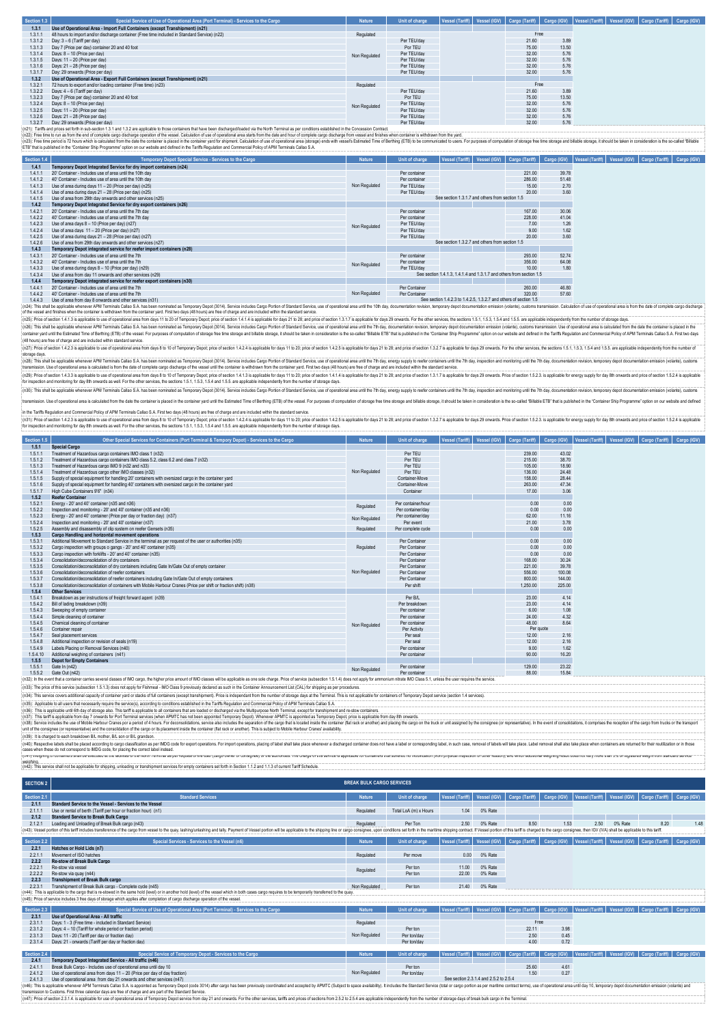| Section 1.3 | Special Service of Use of Operational Area (Port Terminal) - Services to the Cargo           | <b>Nature</b> | Unit of charge |  | Vessel (Tariff)   Vessel (IGV)   Cargo (Tariff)   Cargo (IGV) |       |  | Vessel (Tariff)   Vessel (IGV)   Cargo (Tariff)   Cargo (IGV) |  |
|-------------|----------------------------------------------------------------------------------------------|---------------|----------------|--|---------------------------------------------------------------|-------|--|---------------------------------------------------------------|--|
| 1,3.1       | Use of Operational Area - Import Full Containers (except Transhipment) (n21)                 |               |                |  |                                                               |       |  |                                                               |  |
| 1.3.1.1     | 48 hours to import and/or discharge container (Free time included in Standard Service) (n22) | Regulated     |                |  | Free                                                          |       |  |                                                               |  |
| 1.3.1.2     | Day: 3 - 6 (Tariff per day)                                                                  |               | Per TEU/day    |  | 21.60                                                         | 3.89  |  |                                                               |  |
| 1.3.1.3     | Day 7 (Price per day) container 20 and 40 foot                                               |               | Por TEU        |  | 75.00                                                         | 13.50 |  |                                                               |  |
| 1.3.1.4     | Days: 8 - 10 (Price per day)                                                                 | Non Regulated | Per TEU/dav    |  | 32.00                                                         | 5.76  |  |                                                               |  |
| 1.3.1.5     | Days: 11 - 20 (Price per day)                                                                |               | Per TEU/day    |  | 32.00                                                         | 5.76  |  |                                                               |  |
| 1.3.1.6     | Days: 21 - 28 (Price per day)                                                                |               | Per TEU/day    |  | 32.00                                                         | 5.76  |  |                                                               |  |
| 1.3.1.7     | Day: 29 onwards (Price per day)                                                              |               | Per TEU/day    |  | 32.00                                                         | 5.76  |  |                                                               |  |
| 1.3.2       | Use of Operational Area - Export Full Containers (except Transhipment) (n21)                 |               |                |  |                                                               |       |  |                                                               |  |
| 1.3.2.1     | 72 hours to export and/or loading container (Free time) (n23)                                | Regulated     |                |  | Free                                                          |       |  |                                                               |  |
| 1.3.2.2     | Days: 4 - 6 (Tariff per day)                                                                 |               | Per TEU/day    |  | 21.60                                                         | 3.89  |  |                                                               |  |
| 1.3.2.3     | Day 7 (Price per day) container 20 and 40 foot                                               |               | Por TEU        |  | 75.00                                                         | 13.50 |  |                                                               |  |
| 1324        | Days: 8 - 10 (Price per day)                                                                 | Non Regulated | Per TEU/dav    |  | 32.00                                                         | 5.76  |  |                                                               |  |
| 1.3.2.5     | Days: 11 - 20 (Price per day)                                                                |               | Per TEU/day    |  | 32.00                                                         | 5.76  |  |                                                               |  |
| 1.3.2.6     | Days: 21 - 28 (Price per day)                                                                |               | Per TEU/day    |  | 32.00                                                         | 5.76  |  |                                                               |  |
| 1.3.2.7     | Day: 29 onwards (Price per day)                                                              |               | Per TEU/day    |  | 32.00                                                         | 5.76  |  |                                                               |  |

(n21): Tarifis and prices set forth in sub-section 1.3.1 and 1.3.2 are applicable to hose combiners that have been discharged/loaded via the horth Terminal as per conditions established in the Concession Conditions from th ETB" that is published in the "Container Ship Programme" option on our website and defined in the Tariffs Regulation and Commercial Policy of APM Terminals Callao S.A.

| Section 1.4 | Temporary Depot Special Service - Services to the Cargo                                                                                                                                                                        | <b>Nature</b> | Unit of charge | Vessel (Tariff) Vessel (IGV)                                         | Cargo (Tariff) |       | Cargo (IGV)   Vessel (Tariff)   Vessel (IGV)   Cargo (Tariff)<br>Cargo (IGV) |
|-------------|--------------------------------------------------------------------------------------------------------------------------------------------------------------------------------------------------------------------------------|---------------|----------------|----------------------------------------------------------------------|----------------|-------|------------------------------------------------------------------------------|
| 1.4.1       | Temporary Depot Integrated Service for dry import containers (n24)                                                                                                                                                             |               |                |                                                                      |                |       |                                                                              |
| 1.4.1.1     | 20' Container - Includes use of area until the 10th day                                                                                                                                                                        |               | Per container  |                                                                      | 221.00         | 39.78 |                                                                              |
| 1.4.1.2     | 40' Container - Includes use of area until the 10th day                                                                                                                                                                        |               | Per container  |                                                                      | 286.00         | 51.48 |                                                                              |
| 1413        | Use of area during days 11 - 20 (Price per day) (n25)                                                                                                                                                                          | Non Regulated | Per TEU/dav    |                                                                      | 15.00          | 2.70  |                                                                              |
| 1.4.1.4     | Use of area during days 21 - 28 (Price per day) (n25)                                                                                                                                                                          |               | Per TEU/dav    |                                                                      | 20.00          | 3.60  |                                                                              |
| 1.4.1.5     | Use of area from 29th day onwards and other services (n25)                                                                                                                                                                     |               |                | See section 1.3.1.7 and others from section 1.5                      |                |       |                                                                              |
| 1.4.2       | Temporary Depot Integrated Service for dry export containers (n26)                                                                                                                                                             |               |                |                                                                      |                |       |                                                                              |
| 1421        | 20' Container - Includes use of area until the 7th day                                                                                                                                                                         |               | Per container  |                                                                      | 167.00         | 30.06 |                                                                              |
| 1.4.2.2     | 40' Container - Includes use of area until the 7th day                                                                                                                                                                         |               | Per container  |                                                                      | 228.00         | 41.04 |                                                                              |
| 1.4.2.3     | Use of area days 8 - 10 (Price per day) (n27)                                                                                                                                                                                  | Non Regulated | Per TEU/dav    |                                                                      | 7.00           | 1.26  |                                                                              |
| 1424        | Use of area days 11 - 20 (Price per day) (n27)                                                                                                                                                                                 |               | Per TEU/dav    |                                                                      | 9.00           | 1.62  |                                                                              |
| 1.4.2.5     | Use of area during days 21 - 28 (Price per day) (n27)                                                                                                                                                                          |               | Per TEU/dav    |                                                                      | 20.00          | 3.60  |                                                                              |
| 1.4.2.6     | Use of area from 29th day onwards and other services (n27)                                                                                                                                                                     |               |                | See section 1.3.2.7 and others from section 1.5                      |                |       |                                                                              |
| 1.4.3       | Temporary Depot integrated service for reefer import containers (n28)                                                                                                                                                          |               |                |                                                                      |                |       |                                                                              |
| 1431        | 20' Container - Includes use of area until the 7th                                                                                                                                                                             |               | Per container  |                                                                      | 293.00         | 52.74 |                                                                              |
| 1.4.3.2     | 40' Container - Includes use of area until the 7th                                                                                                                                                                             | Non Regulated | Per container  |                                                                      | 356.00         | 64.08 |                                                                              |
| 1.4.3.3     | Use of area during days 8 - 10 (Price per day) (n29)                                                                                                                                                                           |               | Per TEU/day    |                                                                      | 10.00          | 1.80  |                                                                              |
| 1.4.3.4     | Use of area from day 11 onwards and other services (n29)                                                                                                                                                                       |               |                | See section 1.4.1.3. 1.4.1.4 and 1.3.1.7 and others from section 1.5 |                |       |                                                                              |
| 1.4.4       | Temporary Depot integrated service for reefer export containers (n30)                                                                                                                                                          |               |                |                                                                      |                |       |                                                                              |
| 1441        | 20' Container - Includes use of area until the 7th                                                                                                                                                                             |               | Per Container  |                                                                      | 260.00         | 46.80 |                                                                              |
| 1442        | 40' Container - Includes use of area until the 7th                                                                                                                                                                             | Non Regulated | Per Container  |                                                                      | 320.00         | 57.60 |                                                                              |
| 1443        | Use of area from day 8 onwards and other services (n31)                                                                                                                                                                        |               |                | See section 1.4.2.3 to 1.4.2.5, 1.3.2.7 and others of section 1.5    |                |       |                                                                              |
|             | (n24): This shall be applicable whenever APM Terminals Callao S.A. has been nominated as Temporary Depot (3014). Service includes Cargo Portion of Standard Service, use of operational area until the 10th day, documentation |               |                |                                                                      |                |       |                                                                              |
|             | of the vessel and finishes when the container is withdrawn from the container yard. First two days (48 hours) are free of charge and are included within the standard service.                                                 |               |                |                                                                      |                |       |                                                                              |

 $\sim$  receives an universal to a conserve summent music music manner product in the security of the section of the section of the section of the section of the section of the section of the section of the section of the se (n26): This shall be applicable whenever APM Terminals Callao S.A has been nominaled as Tenporary Depot (3014). Service inducts Cargo Portion of Standard Service, use of operational assume the 7th day, documentation reside

(ic2): Price declin 1.423 is applicable buse of operational area form days to 10 of Temporary Depot, price of section 1.424 is applicable for days in 1 b20; price of science 1.42, is applicable for days 21 b2, and price se

(n30): This shall be applicable whenever APM Terminals Callao S.A has been nominated as Temporary Depot (3014). Service includes Cargo Portion of Standard Service, use of operational area until the 7th day, energy suply to insmission. Use of operational area is calculated from the date the container is placed in the container vard until the Estimated Time of Berthino (ETB) of the vessel. For purposes of computation of storage free strage and

in the Tariffs Regulation and Commercial Policy of APM Terminals Callao S.A. First two days (48 hours) are free of charge and are included within the standard service. (n3)); Pina of 1423 is applicable buse of operational area form days is 10 of Temporary Depot, 1424 is applicable days it to 25, and price of the Sapplicable branch and the Sapplicable form and the Sapplicable of the Sappl

| Section 1.5 | Other Special Services for Containers (Port Terminal & Tempory Depot) - Services to the Cargo                                                                                                                                  | <b>Nature</b> | Unit of charge     | <b>Vessel (Tariff)</b> |           |        | Vessel (IGV)   Cargo (Tariff)   Cargo (IGV)   Vessel (Tariff)   Vessel (IGV)   Cargo (Tariff) |  |  |
|-------------|--------------------------------------------------------------------------------------------------------------------------------------------------------------------------------------------------------------------------------|---------------|--------------------|------------------------|-----------|--------|-----------------------------------------------------------------------------------------------|--|--|
| 1.5.1       | <b>Special Cargo</b>                                                                                                                                                                                                           |               |                    |                        |           |        |                                                                                               |  |  |
| 1.5.1.1     | Treatment of Hazardous cargo containers IMO class 1 (n32)                                                                                                                                                                      |               | Per TEU            |                        | 239.00    | 43.02  |                                                                                               |  |  |
| 1.5.1.2     | Treatment of Hazardous cargo containers IMO class 5.2, class 6.2 and class 7 (n32)                                                                                                                                             |               | Per TEU            |                        | 215.00    | 38.70  |                                                                                               |  |  |
| 1.5.1.3     | Treatment of Hazardous cargo IMO 9 (n32 and n33)                                                                                                                                                                               |               | Per TEU            |                        | 105.00    | 18.90  |                                                                                               |  |  |
| 1.5.1.4     | Treatment of Hazardous caroo other IMO classes (n32)                                                                                                                                                                           | Non Regulated | Per TEU            |                        | 136.00    | 24.48  |                                                                                               |  |  |
| 1.5.1.5     | Supply of special equipment for handling 20' containers with oversized cargo in the container vard                                                                                                                             |               | Container-Move     |                        | 158.00    | 28.44  |                                                                                               |  |  |
| 1.5.1.6     | Supply of special equipment for handling 40' containers with oversized cargo in the container vard                                                                                                                             |               | Container-Move     |                        | 263.00    | 47.34  |                                                                                               |  |  |
| 1.5.1.7     | High Cube Containers 9'6" (n34)                                                                                                                                                                                                |               | Container          |                        | 17.00     | 3.06   |                                                                                               |  |  |
| 1.5.2       | <b>Reefer Container</b>                                                                                                                                                                                                        |               |                    |                        |           |        |                                                                                               |  |  |
| 1.5.2.1     | Energy - 20' and 40' container (n35 and n36)                                                                                                                                                                                   |               | Per container/hour |                        | 0.00      | 0.00   |                                                                                               |  |  |
| 1.5.2.2     | Inspection and monitoring - 20' and 40' container (n35 and n36)                                                                                                                                                                | Regulated     | Per container/day  |                        | 0.00      | 0.00   |                                                                                               |  |  |
| 1.5.2.3     | Fneroy - 20' and 40' container (Price per day or fraction day) (n37)                                                                                                                                                           |               | Per container/day  |                        | 62.00     | 11.16  |                                                                                               |  |  |
| 1.5.2.4     | Inspection and monitoring - 20' and 40' container (n37)                                                                                                                                                                        | Non Regulated | Per event          |                        | 21.00     | 3.78   |                                                                                               |  |  |
| 1.5.2.5     | Assembly and disassembly of clip system on reefer Gensets (n35)                                                                                                                                                                | Regulated     | Per complete cycle |                        | 0.00      | 0.00   |                                                                                               |  |  |
| 1,5.3       | Cargo Handling and horizontal movement operations                                                                                                                                                                              |               |                    |                        |           |        |                                                                                               |  |  |
| 1.5.3.1     | Additional Movement to Standard Service in the terminal as per request of the user or authorities (n35)                                                                                                                        |               | Per Container      |                        | 0.00      | 0.00   |                                                                                               |  |  |
| 1.5.3.2     | Cargo inspection with groups o gangs - 20' and 40' container (n35)                                                                                                                                                             | Regulated     | Per Container      |                        | 0.00      | 0.00   |                                                                                               |  |  |
| 1.5.3.3     | Cargo inspection with forklifts - 20' and 40' container (n35)                                                                                                                                                                  |               | Per Container      |                        | 0.00      | 0.00   |                                                                                               |  |  |
| 1.5.3.4     | Consolidation/deconsolidation of dry containers                                                                                                                                                                                |               | Per Container      |                        | 168.00    | 30.24  |                                                                                               |  |  |
| 1.5.3.5     | Consolidation/deconsolidation of dry containers including Gate In/Gate Out of empty container                                                                                                                                  |               | Per Container      |                        | 221.00    | 39.78  |                                                                                               |  |  |
| 1.5.3.6     | Consolidation/deconsolidation of reefer containers                                                                                                                                                                             | Non Regulated | Per Container      |                        | 556.00    | 100.08 |                                                                                               |  |  |
| 1.5.3.7     | Consolidation/deconsolidation of reefer containers including Gate In/Gate Out of empty containers                                                                                                                              |               | Per Container      |                        | 800.00    | 144.00 |                                                                                               |  |  |
| 1.5.3.8     | Consolidation/deconsolidation of containers with Mobile Harbour Cranes (Price per shift or fraction shift) (n38)                                                                                                               |               | Per shift          |                        | 1,250.00  | 225.00 |                                                                                               |  |  |
| 1.5.4       | <b>Other Services</b>                                                                                                                                                                                                          |               |                    |                        |           |        |                                                                                               |  |  |
| 1.5.4.1     | Breakdown as per instructions of freight forward agent (n39)                                                                                                                                                                   |               | Per B/L            |                        | 23.00     | 4.14   |                                                                                               |  |  |
| 1.5.4.2     | Bill of lading breakdown (n39)                                                                                                                                                                                                 |               | Per breakdown      |                        | 23.00     | 4.14   |                                                                                               |  |  |
| 1.5.4.3     | Sweeping of empty container                                                                                                                                                                                                    |               | Per container      |                        | 6.00      | 1.08   |                                                                                               |  |  |
| 1.5.4.4     | Simple cleaning of container                                                                                                                                                                                                   |               | Per container      |                        | 24.00     | 4.32   |                                                                                               |  |  |
| 1.5.4.5     | Chemical cleaning of container                                                                                                                                                                                                 |               | Per container      |                        | 48.00     | 8.64   |                                                                                               |  |  |
| 1.5.4.6     | Container repair                                                                                                                                                                                                               | Non Regulated | Per Activity       |                        | Per quote |        |                                                                                               |  |  |
| 1.5.4.7     | Seal placement services                                                                                                                                                                                                        |               | Per seal           |                        | 12.00     | 2.16   |                                                                                               |  |  |
| 1.5.4.8     | Additional inspection or revision of seals (n19)                                                                                                                                                                               |               | Per seal           |                        | 12.00     | 2.16   |                                                                                               |  |  |
| 1.5.4.9     | Labels Placing or Removal Services (n40)                                                                                                                                                                                       |               | Per container      |                        | 9.00      | 1.62   |                                                                                               |  |  |
| 1.5.4.10    | Additional weighing of containers (n41)                                                                                                                                                                                        |               | Per container      |                        | 90.00     | 16.20  |                                                                                               |  |  |
| 1.5.5       | <b>Depot for Empty Containers</b>                                                                                                                                                                                              |               |                    |                        |           |        |                                                                                               |  |  |
| 1.5.5.1     | Gate In (n42)                                                                                                                                                                                                                  |               | Per container      |                        | 129.00    | 23.22  |                                                                                               |  |  |
| 1.5.5.2     | Gate Out (n42)                                                                                                                                                                                                                 | Non Regulated | Per container      |                        | 88.00     | 15.84  |                                                                                               |  |  |
|             | (n32): In the event that a container carries several classes of IMO cargo, the higher price amount of IMO classes will be applicable as one sole charge. Price of service (subsection 1.5.1.4) does not apply of ammonium nitr |               |                    |                        |           |        |                                                                                               |  |  |
|             | (n33): The price of this service (subsection 1.5.1.3) does not apply for Fishmeal - IMO Class 9 previously declared as such in the Container Announcement List (CAL) for shipping as per procedures.                           |               |                    |                        |           |        |                                                                                               |  |  |
|             | (n34): This service covers additional capacity of container yard or stacks of full containers (except transhipment). Price is independant from the number of storage days at the Terminal. This is not applicable for containe |               |                    |                        |           |        |                                                                                               |  |  |

(n35): Applicable to all users that necessarily require the service(s), according to conditions established in the Tariffs Regulation and Commercial Policy of APM Terminals Callao S.A.

(n3); This sapicable until this dy of stonge also This applicable to all condiners that are loosted of dischaped viste MPN physophermal and exapt to exapted a response to the specific exapted are the security in the securi (n39): It is charged to each breakdown B/L mother, B/L son or B/L grandson. -<br>arations, placing of label shall take place whenever a discharged container does not have a label or corresponding label, in such case, removal of labels will take place. Label removal shall also take place whe

cases when these do not correspond to IMDG code, for placing the correct label instead. (n41) Weighing of containers shall be executed at the facilities of the North Terminal as per request of the user (cargo owner or consignee) or the authorities. The charge of this service is applicable for containers that suffered no modification (from physical inspection or other reason), and which additional weighing result does not vary more than 3% of registered weight from standard service weighing.

|  | (n42): This service shall not be applicable for shipping, unloading or transhipment services for empty containers set forth in Section 1.1.2 and 1.1.3 of current Tariff Schedule. |
|--|------------------------------------------------------------------------------------------------------------------------------------------------------------------------------------|
|  |                                                                                                                                                                                    |

| <b>SECTION 2</b> |                                                                                                                                                                                                                                                                     | <b>BREAK BULK CARGO SERVICES</b> |                             |                        |              |                |              |      |         |                                                                                                                               |      |
|------------------|---------------------------------------------------------------------------------------------------------------------------------------------------------------------------------------------------------------------------------------------------------------------|----------------------------------|-----------------------------|------------------------|--------------|----------------|--------------|------|---------|-------------------------------------------------------------------------------------------------------------------------------|------|
| Section 2.1      | <b>Standard Services</b>                                                                                                                                                                                                                                            | <b>Nature</b>                    | Unit of charge              | <b>Vessel (Tariff)</b> | Vessel (IGV) | Cargo (Tariff) | Cargo (IGV)  |      |         | Vessel (Tariff)   Vessel (IGV)   Cargo (Tariff)   Cargo (IGV)                                                                 |      |
| 2.1.1            | Standard Service to the Vessel - Services to the Vessel                                                                                                                                                                                                             |                                  |                             |                        |              |                |              |      |         |                                                                                                                               |      |
| 2.1.1.1          | Use or rental of berth (Tariff per hour or fraction hour) (n1)                                                                                                                                                                                                      | Regulated                        | Total LoA (m) x Hours       | 1.04                   | 0% Rate      |                |              |      |         |                                                                                                                               |      |
| 2.1.2            | <b>Standard Service to Break Bulk Cargo</b>                                                                                                                                                                                                                         |                                  |                             |                        |              |                |              |      |         |                                                                                                                               |      |
| 2121             | Loading and Unloading of Break Bulk cargo (n43)                                                                                                                                                                                                                     | Regulated                        | Per Ton                     | 2.50                   | 0% Rate      | 8.50           | 1.53         | 2.50 | 0% Rate | 8.20                                                                                                                          | 1.48 |
|                  | [n43]: Vessel portion of this tariff includes transference of the cargo from vessel to the quay, lashinglunlashing and tally. Payment of Vessel portion will be applicable to the shipping line or cargo consignee, upon condi                                      |                                  |                             |                        |              |                |              |      |         |                                                                                                                               |      |
| Section 2.2      | Special Services - Services to the Vessel (n6)                                                                                                                                                                                                                      | <b>Nature</b>                    | <b>Unit of charge</b>       |                        |              |                |              |      |         | Vessel (Tariff)   Vessel (IGV)   Cargo (Tariff)   Cargo (IGV)   Vessel (Tariff)   Vessel (IGV)   Cargo (Tariff)   Cargo (IGV) |      |
| 2.2.1            | Hatches or Hold Lids (n7)                                                                                                                                                                                                                                           |                                  |                             |                        |              |                |              |      |         |                                                                                                                               |      |
| 2.2.1.1          | Movement of ISO hatches                                                                                                                                                                                                                                             | Regulated                        | Per move                    | 0.00                   | 0% Rate      |                |              |      |         |                                                                                                                               |      |
| 2.2.2            | Re-stow of Break Bulk Cargo                                                                                                                                                                                                                                         |                                  |                             |                        |              |                |              |      |         |                                                                                                                               |      |
| 2221             | Re-stow via vessel                                                                                                                                                                                                                                                  | Regulated                        | Per ton                     | 11.00                  | 0% Rate      |                |              |      |         |                                                                                                                               |      |
| 2222             | Re-stow via quay (n44)                                                                                                                                                                                                                                              |                                  | Per ton                     | 22.00                  | 0% Rate      |                |              |      |         |                                                                                                                               |      |
| 2.2.3            | <b>Transhipment of Break Bulk cargo</b>                                                                                                                                                                                                                             |                                  |                             |                        |              |                |              |      |         |                                                                                                                               |      |
| 2231             | Transhipment of Break Bulk cargo - Complete cycle (n45)<br>(n44): This is applicable to the cargo that is re-stowed in the same hold (level) or in another hold (level) of the vessel which in both cases cargo requires to be temporarily transferred to the quay. | Non Regulated                    | Per ton                     | 21.40                  | 0% Rate      |                |              |      |         |                                                                                                                               |      |
|                  | (n45): Price of service includes 3 free days of storage which applies after completion of cargo discharge operation of the vessel.                                                                                                                                  |                                  |                             |                        |              |                |              |      |         |                                                                                                                               |      |
|                  |                                                                                                                                                                                                                                                                     |                                  |                             |                        |              |                |              |      |         |                                                                                                                               |      |
| Section 2.3      | Special Service of Use of Operational Area (Port Terminal) - Services to the Cargo                                                                                                                                                                                  | <b>Nature</b>                    | Unit of charge              |                        |              |                |              |      |         | Vessel (Tariff)   Vessel (IGV)   Cargo (Tariff)   Cargo (IGV)   Vessel (Tariff)   Vessel (IGV)   Cargo (Tariff)   Cargo (IGV) |      |
| 2.3.1            | Use of Operational Area - All traffic                                                                                                                                                                                                                               |                                  |                             |                        |              |                |              |      |         |                                                                                                                               |      |
| 2.3.1.1          | Days: 1 - 3 (Free time - included in Standard Service)                                                                                                                                                                                                              | Regulated                        |                             |                        |              | Free           |              |      |         |                                                                                                                               |      |
| 2.3.1.2          | Days: 4 - 10 (Tariff for whole period or fraction period)                                                                                                                                                                                                           |                                  | Per ton                     |                        |              | 22.11          | 3.98         |      |         |                                                                                                                               |      |
| 2.3.1.3<br>2314  | Days: 11 - 20 (Tariff per day or fraction day)                                                                                                                                                                                                                      | Non Regulated                    | Per ton/day                 |                        |              | 2.50<br>4.00   | 0.45<br>0.72 |      |         |                                                                                                                               |      |
|                  | Days: 21 - onwards (Tariff per day or fraction day)                                                                                                                                                                                                                 |                                  | Per ton/day                 |                        |              |                |              |      |         |                                                                                                                               |      |
| Section 2.4      | Special Service of Temporary Depot - Services to the Cargo                                                                                                                                                                                                          | <b>Nature</b>                    | <b>Unit of charge</b>       |                        |              |                |              |      |         | Vessel (Tariff)   Vessel (IGV)   Cargo (Tariff)   Cargo (IGV)   Vessel (Tariff)   Vessel (IGV)   Cargo (Tariff)   Cargo (IGV) |      |
| 2.4.1            | Temporary Depot Integrated Service - All traffic (n46)                                                                                                                                                                                                              |                                  |                             |                        |              |                |              |      |         |                                                                                                                               |      |
| 2.4.1.1          | Break Bulk Cargo - Includes use of operational area until day 10                                                                                                                                                                                                    |                                  | Per ton                     |                        |              | 25.60          | 4.61         |      |         |                                                                                                                               |      |
|                  |                                                                                                                                                                                                                                                                     | Alex Deputated                   | $\sim$ $\sim$ $\sim$ $\sim$ |                        |              | $1 - 2$        | 0.07         |      |         |                                                                                                                               |      |

2.41.2 Use of operational area from days 11.50 in 20 (Price per day from day of day of day fraction) Per ton/day 1.50 0.27<br>2.4.1.3 Use of operational area from day 21 onwards and other services (n47) See section 2.3.1.4 and 2.5.2 to 2.5.4 (n45): This is price between APM Teminak Callos S. k sepointed is Temport) Depart on the magnitus been previously condinated and accepted by APMTC (Subject to space availability). It includes the Sand control counter as ex

i automasour accustom to the compare the our offered and a structure of the product of the other services, farths and prices of sections from 252 to 254 are applicable independently from the number of storage days of break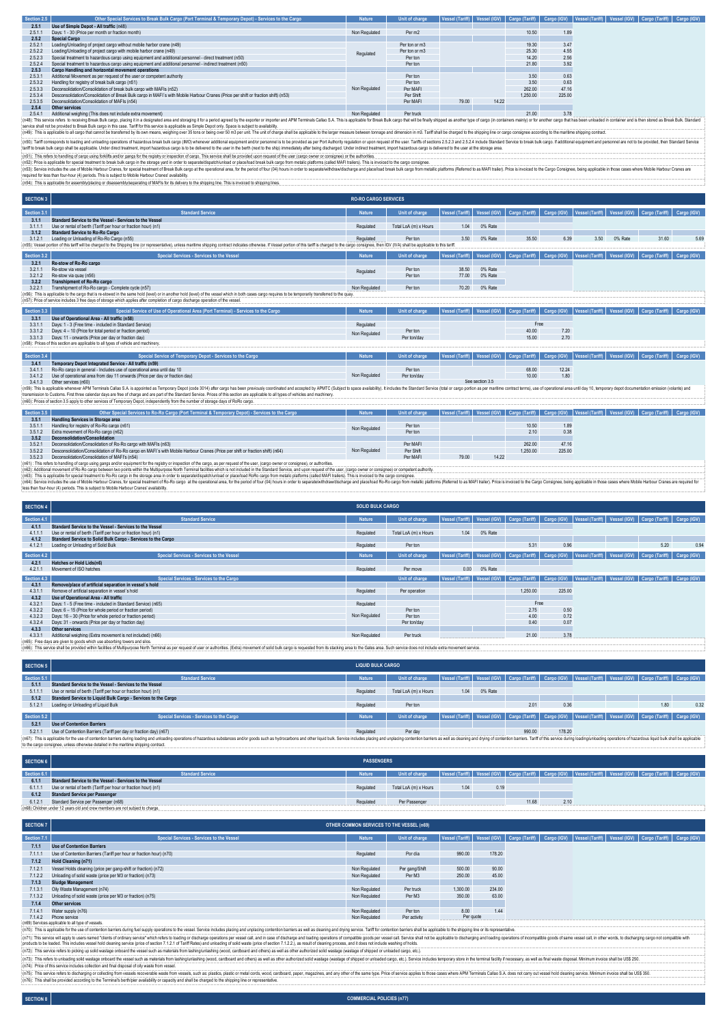| Section 2.5 | Other Special Services to Break Bulk Cargo (Port Terminal & Temporary Depot) - Services to the Cargo                                                                                                                                                                                                                                                                                            | <b>Nature</b> | Unit of charge |       |       |          |        | Vessel (Tariff)   Vessel (IGV)   Cargo (Tariff)   Cargo (IGV)   Vessel (Tariff)   Vessel (IGV)   Cargo (Tariff)   Cargo (IGV) |  |
|-------------|-------------------------------------------------------------------------------------------------------------------------------------------------------------------------------------------------------------------------------------------------------------------------------------------------------------------------------------------------------------------------------------------------|---------------|----------------|-------|-------|----------|--------|-------------------------------------------------------------------------------------------------------------------------------|--|
| 2.5.1       | Use of Simple Depot - All traffic (n48)                                                                                                                                                                                                                                                                                                                                                         |               |                |       |       |          |        |                                                                                                                               |  |
| 2.5.1.1     | Days: 1 - 30 (Price per month or fraction month)                                                                                                                                                                                                                                                                                                                                                | Non Regulated | Per m2         |       |       | 10.50    | 1.89   |                                                                                                                               |  |
| 2.5.2       | <b>Special Cargo</b>                                                                                                                                                                                                                                                                                                                                                                            |               |                |       |       |          |        |                                                                                                                               |  |
| 2.5.2.1     | Loading/Unloading of project cargo without mobile harbor crane (n49)                                                                                                                                                                                                                                                                                                                            |               | Per ton or m3  |       |       | 19.30    | 3.47   |                                                                                                                               |  |
| 2.5.2.2     | Loading/Unloading of project cargo with mobile harbor crane (n49)                                                                                                                                                                                                                                                                                                                               | Regulated     | Per ton or m3  |       |       | 25.30    | 4.55   |                                                                                                                               |  |
| 2.5.2.3     | Special treatment to hazardous cargo using equipment and additional personnel - direct treatment (n50)                                                                                                                                                                                                                                                                                          |               | Per ton        |       |       | 14.20    | 2.56   |                                                                                                                               |  |
| 2.5.2.4     | Special treatment to hazardous cargo using equipment and additional personnel - indirect treatment (n50)                                                                                                                                                                                                                                                                                        |               | Per ton        |       |       | 21.80    | 3.92   |                                                                                                                               |  |
| 2.5.3       | Cargo Handling and horizontal movement operations                                                                                                                                                                                                                                                                                                                                               |               |                |       |       |          |        |                                                                                                                               |  |
| 2.5.3.1     | Additional Movement as per request of the user or competent authority                                                                                                                                                                                                                                                                                                                           |               | Perton         |       |       | 3.50     | 0.63   |                                                                                                                               |  |
| 2.5.3.2     | Handling for registry of break bulk cargo (n51)                                                                                                                                                                                                                                                                                                                                                 |               | Per ton        |       |       | 3.50     | 0.63   |                                                                                                                               |  |
| 2.5.3.3     | Deconsolidation/Consolidation of break bulk cargo with MAFIs (n52)                                                                                                                                                                                                                                                                                                                              | Non Regulated | Per MAFI       |       |       | 262.00   | 47.16  |                                                                                                                               |  |
| 2.5.3.4     | Desconsolidation/Consolidation of Break Bulk cargo in MAFI's with Mobile Harbour Cranes (Price per shift or fraction shift) (n53)                                                                                                                                                                                                                                                               |               | Per Shift      |       |       | 1,250.00 | 225.00 |                                                                                                                               |  |
| 2.5.3.5     | Deconsolidation/Consolidation of MAFIs (n54)                                                                                                                                                                                                                                                                                                                                                    |               | Per MAFI       | 79.00 | 14.22 |          |        |                                                                                                                               |  |
| 2.5.4       | Other services                                                                                                                                                                                                                                                                                                                                                                                  |               |                |       |       |          |        |                                                                                                                               |  |
| 2541        | Additional weighing (This does not include extra movement)                                                                                                                                                                                                                                                                                                                                      | Non Regulated | Per truck      |       |       | 21.00    | 3.78   |                                                                                                                               |  |
|             | (n48): This service refers to receiving Break Bulk cargo, placing it in a designated area and storaging it for a period agreed by the exporter or importer and APM Terminals Callao S.A. This is applicable for Break Bulk car<br>service shall not be provided to Break Bulk cargo in this case. Tariff for this service is applicable as Simple Depot only. Space is subject to availability. |               |                |       |       |          |        |                                                                                                                               |  |
|             | (n49): This is applicable to all cargo that cannot be transferred by its own means, weighing over 35 tons or being over 50 m3 per unit. The unit of charge shall be applicable to the larger measure between tonnage and dimen                                                                                                                                                                  |               |                |       |       |          |        |                                                                                                                               |  |
|             | (n50): Tariff corresponds to loading and unloading operations of hazardous break bulk caroo (IMO) whenever additional equipment and/or personnel is to be provided as per Port Authority requisition or upon request of the us                                                                                                                                                                  |               |                |       |       |          |        |                                                                                                                               |  |
|             | tariff to break bulk cargo shall be applicable. Under direct treatment, import hazardous cargo is to be delivered to the user in the berth (next to the ship) immediately after being discharged. Under indirect treatment, im                                                                                                                                                                  |               |                |       |       |          |        |                                                                                                                               |  |
|             | (n51): This refers to handling of cargo using forklifts and/or gangs for the registry or inspection of cargo. This service shall be provided upon request of the user (cargo owner or consignee) or the authorities.                                                                                                                                                                            |               |                |       |       |          |        |                                                                                                                               |  |
|             | (n52): Price is applicable for special treatment to break bulk cargo in the storage yard in order to separate/dispatch/unload or place/load break bulk cargo from metalic platforms (called MAFI trailers). This is invoiced t                                                                                                                                                                  |               |                |       |       |          |        |                                                                                                                               |  |
|             | (n53): Service includes the use of Mobile Harbour Cranes, for special treatment of Break Bulk cargo at the operational area, for the period of four (04) hours in order to separate/withdraw/discharge and place/load break bu                                                                                                                                                                  |               |                |       |       |          |        |                                                                                                                               |  |

required for less than four-hour (4) periods. This is subject to Mobile Harbour Cranes' availability.<br>(n54): This is applicable for assembly|placing or disassembly/separating of MAFIs for its delivery to the shipping in sh

| <b>SECTION 3</b> |                                                                                                                                                                                                                                | <b>RO-RO CARGO SERVICES</b> |                       |                        |                 |                |             |                 |         |                                                                                                                               |             |
|------------------|--------------------------------------------------------------------------------------------------------------------------------------------------------------------------------------------------------------------------------|-----------------------------|-----------------------|------------------------|-----------------|----------------|-------------|-----------------|---------|-------------------------------------------------------------------------------------------------------------------------------|-------------|
| Section 3.1      | <b>Standard Service</b>                                                                                                                                                                                                        | <b>Nature</b>               | Unit of charge        | Vessel (Tariff)        | Vessel (IGV)    | Cargo (Tariff) |             |                 |         | Cargo (IGV)   Vessel (Tariff)   Vessel (IGV)   Cargo (Tariff)   Cargo (IGV)                                                   |             |
| 3.1.1            | Standard Service to the Vessel - Services to the Vessel                                                                                                                                                                        |                             |                       |                        |                 |                |             |                 |         |                                                                                                                               |             |
| 3111             | Use or rental of berth (Tariff per hour or fraction hour) (n1)                                                                                                                                                                 | Regulated                   | Total LoA (m) x Hours | 1.04                   | 0% Rate         |                |             |                 |         |                                                                                                                               |             |
| 3.1.2            | <b>Standard Service to Ro-Ro Cargo</b>                                                                                                                                                                                         |                             |                       |                        |                 |                |             |                 |         |                                                                                                                               |             |
| 3121             | Loading or Unloading of Ro-Ro Cargo (n55)                                                                                                                                                                                      | Regulated                   | Per ton               | 3.50                   | 0% Rate         | 35.50          | 6.39        | 3.50            | 0% Rate | 31.60                                                                                                                         | 5.69        |
|                  | (n55): Vessel portion of this tariff will be charged to the Shipping line (or representative), unless maritime shipping contract indicates otherwise. If Vessel portion of this tariff is charged to the cargo consignee, then |                             |                       |                        |                 |                |             |                 |         |                                                                                                                               |             |
| Section 3.2      | Special Services - Services to the Vessel                                                                                                                                                                                      | <b>Nature</b>               | Unit of charge        | Vessel (Tariff)        | Vessel (IGV)    | Cargo (Tariff) | Cargo (IGV) | Vessel (Tariff) |         | Vessel (IGV)   Cargo (Tariff)                                                                                                 | Cargo (IGV) |
| 3.2.1            | Re-stow of Ro-Ro cargo                                                                                                                                                                                                         |                             |                       |                        |                 |                |             |                 |         |                                                                                                                               |             |
| 3211             | Re-stow via vessel                                                                                                                                                                                                             | Regulated                   | Per ton               | 38.50                  | 0% Rate         |                |             |                 |         |                                                                                                                               |             |
| 3.2.1.2          | Re-stow via quay (n56)                                                                                                                                                                                                         |                             | Per ton               | 77.00                  | 0% Rate         |                |             |                 |         |                                                                                                                               |             |
| 3.2.2            | <b>Transhipment of Ro-Ro cargo</b>                                                                                                                                                                                             |                             |                       |                        |                 |                |             |                 |         |                                                                                                                               |             |
| 3221             | Transhipment of Ro-Ro cargo - Complete cycle (n57)                                                                                                                                                                             | Non Regulated               | Per ton               | 70.20                  | 0% Rate         |                |             |                 |         |                                                                                                                               |             |
|                  | (n56): This is applicable to the cargo that is re-stowed in the same hold (level) or in another hold (level) of the vessel which in both cases cargo requires to be temporarily transferred to the quay.                       |                             |                       |                        |                 |                |             |                 |         |                                                                                                                               |             |
|                  | (n57): Price of service includes 3 free days of storage which applies after completion of cargo discharge operation of the vessel.                                                                                             |                             |                       |                        |                 |                |             |                 |         |                                                                                                                               |             |
| Section 3.3      | Special Service of Use of Operational Area (Port Terminal) - Services to the Cargo                                                                                                                                             | <b>Nature</b>               | Unit of charge        |                        |                 |                |             |                 |         | Vessel (Tariff)   Vessel (IGV)   Cargo (Tariff)   Cargo (IGV)   Vessel (Tariff)   Vessel (IGV)   Cargo (Tariff)   Cargo (IGV) |             |
| 3.3.1            | Use of Operational Area - All traffic (n58)                                                                                                                                                                                    |                             |                       |                        |                 |                |             |                 |         |                                                                                                                               |             |
| 3311             | Days: 1 - 3 (Free time - included in Standard Service)                                                                                                                                                                         | Regulated                   |                       |                        |                 | Free           |             |                 |         |                                                                                                                               |             |
| 3.3.1.2          | Days: 4 - 10 (Price for total period or fraction period)                                                                                                                                                                       | Non Regulated               | Per ton               |                        |                 | 40.00          | 7.20        |                 |         |                                                                                                                               |             |
| 3313             | Days: 11 - onwards (Price per day or fraction day)                                                                                                                                                                             |                             | Per ton/day           |                        |                 | 15.00          | 2.70        |                 |         |                                                                                                                               |             |
|                  | (n58): Prices of this section are applicable to all types of vehicle and machinery.                                                                                                                                            |                             |                       |                        |                 |                |             |                 |         |                                                                                                                               |             |
|                  |                                                                                                                                                                                                                                |                             |                       |                        |                 |                |             |                 |         |                                                                                                                               |             |
| Section 3.4      | Special Service of Temporary Depot - Services to the Cargo                                                                                                                                                                     | <b>Nature</b>               | Unit of charge        | <b>Vessel (Tariff)</b> | Vessel (IGV)    | Cargo (Tariff) | Cargo (IGV) | Vessel (Tariff) |         | Vessel (IGV) Cargo (Tariff)                                                                                                   | Cargo (IGV) |
| 3.4.1            | Temporary Depot Integrated Service - All traffic (n59)                                                                                                                                                                         |                             |                       |                        |                 |                |             |                 |         |                                                                                                                               |             |
| 3411             | Ro-Ro cargo in general - Includes use of operational area until day 10                                                                                                                                                         |                             | Per ton               |                        |                 | 68.00          | 12 24       |                 |         |                                                                                                                               |             |
| 3.4.1.2          | Use of operational area from day 11 onwards (Price per day or fraction day)                                                                                                                                                    | Non Regulated               | Per ton/day           |                        |                 | 10.00          | 1.80        |                 |         |                                                                                                                               |             |
| 3413             | Other services (n60)                                                                                                                                                                                                           |                             |                       |                        | See section 3.5 |                |             |                 |         |                                                                                                                               |             |
|                  | (n59): This is applicable whenever APM Terminals Callao S.A. is appointed as Temporary Depot (code 3014) after cargo has been previously coordinated and accepted by APMTC (Subject to space availability). It includes the St |                             |                       |                        |                 |                |             |                 |         |                                                                                                                               |             |
|                  | transmission to Customs. First three calendar days are free of charge and are part of the Standard Service. Prices of this section are applicable to all types of vehicles and machinery.                                      |                             |                       |                        |                 |                |             |                 |         |                                                                                                                               |             |
|                  | (n60): Prices of section 3.5 apply to other services of Temporary Depot, independently from the number of storage days of RoRo cargo.                                                                                          |                             |                       |                        |                 |                |             |                 |         |                                                                                                                               |             |
|                  |                                                                                                                                                                                                                                |                             |                       |                        |                 |                |             |                 |         |                                                                                                                               |             |

| Section 3.5 | Other Special Services to Ro-Ro Cargo (Port Terminal & Temporary Depot) - Services to the Cargo                                                                                                                                | Nature        |           |       |       |          |        | Unit of charge   Vessel (Tariff)   Vessel (IGV)   Cargo (Tariff)   Cargo (IGV)   Vessel (Tariff)   Vessel (IGV)   Cargo (Tariff)   Cargo (IGV) |  |  |
|-------------|--------------------------------------------------------------------------------------------------------------------------------------------------------------------------------------------------------------------------------|---------------|-----------|-------|-------|----------|--------|------------------------------------------------------------------------------------------------------------------------------------------------|--|--|
| 3.5.1       | Handling Services in Storage area                                                                                                                                                                                              |               |           |       |       |          |        |                                                                                                                                                |  |  |
| 3.5.1.1     | Handling for registry of Ro-Ro cargo (n61)                                                                                                                                                                                     | Non Regulated | Per ton   |       |       | 10.50    | 1.89   |                                                                                                                                                |  |  |
| 3.5.1.2     | Extra movement of Ro-Ro cargo (n62)                                                                                                                                                                                            |               | Per ton   |       |       | 2.10     | 0.38   |                                                                                                                                                |  |  |
| 3.5.2       | Deconsolidation/Consolidation                                                                                                                                                                                                  |               |           |       |       |          |        |                                                                                                                                                |  |  |
| 3521        | Deconsolidation/Consolidation of Ro-Ro cargo with MAFIs (n63)                                                                                                                                                                  |               | Per MAFI  |       |       | 262.00   | 47.16  |                                                                                                                                                |  |  |
| 3522        | Desconsolidation/Consolidation of Ro-Ro cargo en MAFI's with Mobile Harbour Cranes (Price per shift or fraction shift) (n64)                                                                                                   | Non Regulated | Per Shift |       |       | 1,250.00 | 225.00 |                                                                                                                                                |  |  |
| 3523        | Deconsolidation/Consolidation of MAFI's (n54)                                                                                                                                                                                  |               | Per MAFI  | 79.00 | 14.22 |          |        |                                                                                                                                                |  |  |
|             | (n61): This refers to handling of cargo using gangs and/or equipment for the registry or inspection of the cargo, as per request of the user, (cargo owner or consignee), or authorities.                                      |               |           |       |       |          |        |                                                                                                                                                |  |  |
|             | (n62): Additional movement of Ro-Ro cargo between two points within the Multipurpose North Terminal facilities which is not included in the Standard Service, and upon request of the user, (cargo owner or consignee) or comp |               |           |       |       |          |        |                                                                                                                                                |  |  |
|             | (n63): This is applicable for special treatment to Ro-Ro cargo in the storage area in order to separate/dispatch/unload or place/load RoRo cargo from metalic platforms (called MAFI trailers). This is invoiced to the cargo  |               |           |       |       |          |        |                                                                                                                                                |  |  |
|             | (n64): Service includes the use of Mobile Harbour Cranes, for special treatment of Ro-Ro cargo at the operational area, for the period of four (04) hours in order to separate/withdraw/discharge and place/bad Ro-Ro cargo fr |               |           |       |       |          |        |                                                                                                                                                |  |  |
|             | less than four-hour (4) periods. This is subject to Mobile Harbour Cranes' availability.                                                                                                                                       |               |           |       |       |          |        |                                                                                                                                                |  |  |

| <b>SECTION 4</b> |                                                                              | <b>SOLID BULK CARGO</b> |                       |                                                               |              |          |        |  |                                                                                                                               |      |
|------------------|------------------------------------------------------------------------------|-------------------------|-----------------------|---------------------------------------------------------------|--------------|----------|--------|--|-------------------------------------------------------------------------------------------------------------------------------|------|
| Section 4.1      | <b>Standard Service</b>                                                      | <b>Nature</b>           | Unit of charge        |                                                               |              |          |        |  | Vessel (Tariff) Vessel (IGV)   Cargo (Tariff)   Cargo (IGV)   Vessel (Tariff)   Vessel (IGV)   Cargo (Tariff)   Cargo (IGV)   |      |
| 4.1.1            | Standard Service to the Vessel - Services to the Vessel                      |                         |                       |                                                               |              |          |        |  |                                                                                                                               |      |
| 4.1.1            | Use or rental of berth (Tariff per hour or fraction hour) (n1)               | Regulated               | Total LoA (m) x Hours | 1.04                                                          | 0% Rate      |          |        |  |                                                                                                                               |      |
| 4.1.2            | Standard Service to Solid Bulk Cargo - Services to the Cargo                 |                         |                       |                                                               |              |          |        |  |                                                                                                                               |      |
| 4.1.2.1          | Loading or Unloading of Solid Bulk                                           | Regulated               | Per ton               |                                                               |              | 5.31     | 0.96   |  | 5.20                                                                                                                          | 0.94 |
| Section 4.2      | Special Services - Services to the Vessel                                    | <b>Nature</b>           | Unit of charge        | Vessel (Tariff)   Vessel (IGV)   Cargo (Tariff)   Cargo (IGV) |              |          |        |  | Vessel (Tariff)   Vessel (IGV)   Cargo (Tariff)   Cargo (IGV)                                                                 |      |
| 4.2.1            | Hatches or Hold Lids(n6)                                                     |                         |                       |                                                               |              |          |        |  |                                                                                                                               |      |
| 4211             | Movement of ISO hatches                                                      | Regulated               | Per move              |                                                               | 0.00 0% Rate |          |        |  |                                                                                                                               |      |
| Section 4.3      | Special Services - Services to the Cargo                                     |                         | Unit of charge        |                                                               |              |          |        |  | Vessel (Tariff)   Vessel (IGV)   Cargo (Tariff)   Cargo (IGV)   Vessel (Tariff)   Vessel (IGV)   Cargo (Tariff)   Cargo (IGV) |      |
| 4.3.1            | Remove/place of artificial separation in vessel's hold                       |                         |                       |                                                               |              |          |        |  |                                                                                                                               |      |
| 4.3.1.           | Remove of artificial separation in vessel's hold                             | Regulated               | Per operation         |                                                               |              | 1,250.00 | 225.00 |  |                                                                                                                               |      |
| 4.3.2            | Use of Operational Area - All traffic                                        |                         |                       |                                                               |              |          |        |  |                                                                                                                               |      |
| 4.3.2.1          | Days: 1 - 5 (Free time - included in Standard Service) (n65)                 | Regulated               |                       |                                                               |              | Free     |        |  |                                                                                                                               |      |
| 4322             | Days: 6 - 15 (Price for whole period or fraction period)                     |                         | Per ton               |                                                               |              | 2.75     | 0.50   |  |                                                                                                                               |      |
| 4.3.2.3          | Days: 16 - 30 (Price for whole period or fraction period)                    | Non Regulated           | Per ton               |                                                               |              | 4.00     | 0.72   |  |                                                                                                                               |      |
| 4.3.2.4          | Days: 31 - onwards (Price per day or fraction day)                           |                         | Per ton/day           |                                                               |              | 0.40     | 0.07   |  |                                                                                                                               |      |
|                  |                                                                              |                         |                       |                                                               |              |          |        |  |                                                                                                                               |      |
| 4.3.3<br>4331    | Other services<br>Additional weighing (Extra movement is not included) (n66) | Non Regulated           |                       |                                                               |              | 21.00    | 3.78   |  |                                                                                                                               |      |

(ri65): Free day are given to goods with use absorting bowers and slice.<br>(ri66): This service shall be provided within facilities of Multipurpose North Terminal as per request of user or authorities. (Edra) movement of sol

| <b>SECTION 5</b> |                                                                                                                                                                                                                                | <b>LIQUID BULK CARGO</b> |                       |      |         |        |        |  |                                                                                                                               |      |
|------------------|--------------------------------------------------------------------------------------------------------------------------------------------------------------------------------------------------------------------------------|--------------------------|-----------------------|------|---------|--------|--------|--|-------------------------------------------------------------------------------------------------------------------------------|------|
| Section 5.1      | Standard Service                                                                                                                                                                                                               | <b>Nature</b>            | Unit of charge        |      |         |        |        |  | Vessel (Tariff)   Vessel (IGV)   Cargo (Tariff)   Cargo (IGV)   Vessel (Tariff)   Vessel (IGV)   Cargo (Tariff)   Cargo (IGV) |      |
| 5.1.1            | Standard Service to the Vessel - Services to the Vessel                                                                                                                                                                        |                          |                       |      |         |        |        |  |                                                                                                                               |      |
| 5.1.1.1          | Use or rental of berth (Tariff per hour or fraction hour) (n1)                                                                                                                                                                 | Regulated                | Total LoA (m) x Hours | 1.04 | 0% Rate |        |        |  |                                                                                                                               |      |
| 5.1.2            | Standard Service to Liquid Bulk Cargo - Services to the Cargo                                                                                                                                                                  |                          |                       |      |         |        |        |  |                                                                                                                               |      |
| 5.1.2.1          | Loading or Unloading of Liquid Bulk                                                                                                                                                                                            | Regulated                | Per ton               |      |         | 2.01   | 0.36   |  | 1.80                                                                                                                          | 0.32 |
|                  |                                                                                                                                                                                                                                |                          |                       |      |         |        |        |  |                                                                                                                               |      |
| Section 5.2      | Special Services - Services to the Cargo                                                                                                                                                                                       | <b>Nature</b>            | Unit of charge        |      |         |        |        |  | Vessel (Tariff) Vessel (IGV) Cargo (Tariff) Cargo (IGV) Vessel (Tariff) Vessel (IGV) Cargo (Tariff) Cargo (IGV)               |      |
| 5.2.1            | <b>Use of Contention Barriers</b>                                                                                                                                                                                              |                          |                       |      |         |        |        |  |                                                                                                                               |      |
| 5211             | Use of Contention Barriers (Tariff per day or fraction day) (n67)                                                                                                                                                              | Regulated                | Per day               |      |         | 990.00 | 178.20 |  |                                                                                                                               |      |
|                  | in67): This is applicable for the use of contention barriers during loading and unloading operations of hazardous substances andor goods such as hydrocarbons and other liguid bulk. Service includes placing and unplacing co |                          |                       |      |         |        |        |  |                                                                                                                               |      |
|                  | to the cargo consignee, unless otherwise detailed in the maritime shipping contract.                                                                                                                                           |                          |                       |      |         |        |        |  |                                                                                                                               |      |

| SECTION 6   | <b>PASSENGERS</b>                                                             |               |                       |      |      |       |      |                                                                                                                                |  |  |  |
|-------------|-------------------------------------------------------------------------------|---------------|-----------------------|------|------|-------|------|--------------------------------------------------------------------------------------------------------------------------------|--|--|--|
| Section 6.1 | <b>Standard Service</b>                                                       | <b>Nature</b> |                       |      |      |       |      | Unit of charge Vessel (Tariff) Vessel (IGV) Cargo (Tariff) Cargo (IGV) Vessel (Tariff) Vessel (IGV) Cargo (Tariff) Cargo (IGV) |  |  |  |
| 6.1.1       | Standard Service to the Vessel - Services to the Vessel                       |               |                       |      |      |       |      |                                                                                                                                |  |  |  |
| 6.1.1.1     | Use or rental of berth (Tariff per hour or fraction hour) (n1)                | Regulated     | Total LoA (m) x Hours | 1.04 | 0.19 |       |      |                                                                                                                                |  |  |  |
| 6.1.2       | <b>Standard Service per Passenger</b>                                         |               |                       |      |      |       |      |                                                                                                                                |  |  |  |
| 6.1.2.1     | Standard Service per Passenger (n68)                                          | Requlated     | Per Passenger         |      |      | 11.68 | 2.10 |                                                                                                                                |  |  |  |
|             | (n68) Children under 12 years old and crew members are not subject to charge. |               |                       |      |      |       |      |                                                                                                                                |  |  |  |

| OTHER COMMON SERVICES TO THE VESSEL (n69)                           |                                                                      |                |          |        |           |  |  |  |  |                                                                                                                               |  |
|---------------------------------------------------------------------|----------------------------------------------------------------------|----------------|----------|--------|-----------|--|--|--|--|-------------------------------------------------------------------------------------------------------------------------------|--|
| Special Services - Services to the Vessel                           | <b>Nature</b>                                                        | Unit of charge |          |        |           |  |  |  |  |                                                                                                                               |  |
| <b>Use of Contention Barriers</b>                                   |                                                                      |                |          |        |           |  |  |  |  |                                                                                                                               |  |
| Use of Contention Barriers (Tariff per hour or fraction hour) (n70) | Regulated                                                            | Por día        | 990.00   | 178.20 |           |  |  |  |  |                                                                                                                               |  |
| Hold Cleaning (n71)                                                 |                                                                      |                |          |        |           |  |  |  |  |                                                                                                                               |  |
| Vessel Holds cleaning (price per gang-shift or fraction) (n72)      | Non Regulated                                                        | Per gang/Shift | 500.00   | 90.00  |           |  |  |  |  |                                                                                                                               |  |
| Unloading of solid waste (price per M3 or fraction) (n73)           | Non Regulated                                                        | Per M3         | 250.00   | 45.00  |           |  |  |  |  |                                                                                                                               |  |
| Sludge Management                                                   |                                                                      |                |          |        |           |  |  |  |  |                                                                                                                               |  |
| Oily Waste Management (n74)                                         | Non Regulated                                                        | Per truck      | 1.300.00 | 234.00 |           |  |  |  |  |                                                                                                                               |  |
| Unloading of solid waste (price per M3 or fraction) (n75)           | Non Regulated                                                        | Per M3         | 350.00   | 63.00  |           |  |  |  |  |                                                                                                                               |  |
| Other services                                                      |                                                                      |                |          |        |           |  |  |  |  |                                                                                                                               |  |
| Water supply (n76)                                                  | Non Regulated                                                        | Per ton        | 8.00     | 1.44   |           |  |  |  |  |                                                                                                                               |  |
| Phone service                                                       | Non Regulated                                                        | Per activity   |          |        |           |  |  |  |  |                                                                                                                               |  |
|                                                                     | to CON Constitution and the state of the first state of constants of |                |          |        | Per quote |  |  |  |  | Vessel (Tariff)   Vessel (IGV)   Cargo (Tariff)   Cargo (IGV)   Vessel (Tariff)   Vessel (IGV)   Cargo (Tariff)   Cargo (IGV) |  |

7.1.42 Phote septicable be all type of vessels.<br>(n59) Services applicable to all type of vessels.<br>(n70): This is applicable to fit a use of contention barriers during fuel supply operations to the vessel. Service including

(n75): This serica etast basebing or colled from vessle recovable wash form vessels, such as plastic or medicator, paper, magazines, and any ofter of the same type. Price of earthcapiles to be eases where APM Terminals Cal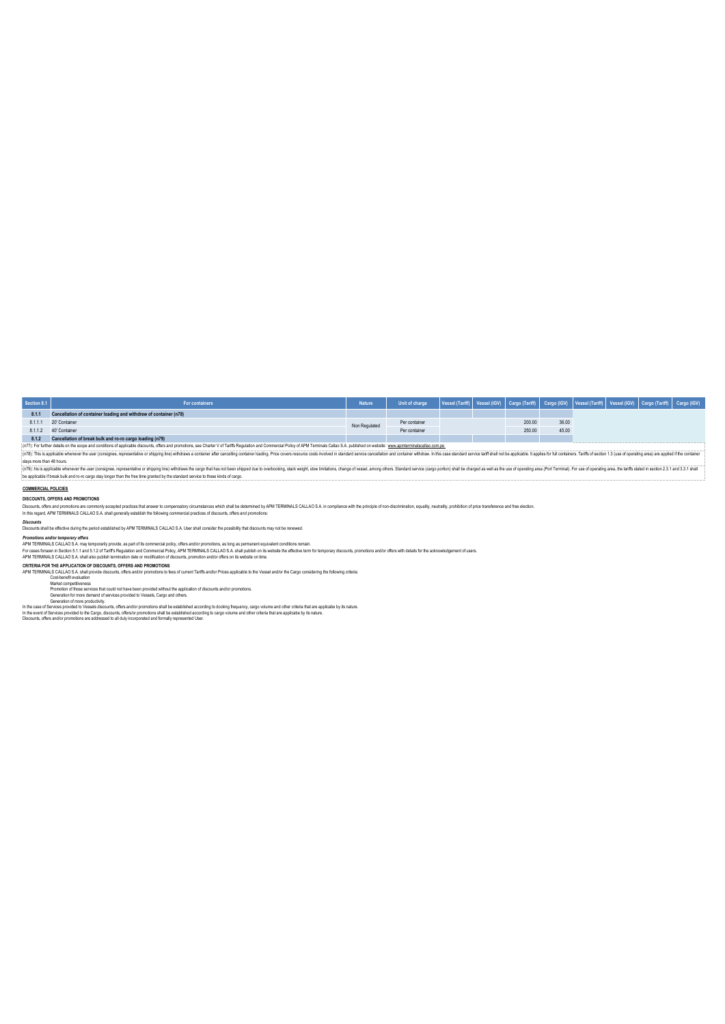| Section 8.1 | For containers                                                    | <b>Nature</b> | Unit of charge | Vessel (Tariff) Vessel (IGV) Cargo (Tariff) Cargo (IGV) Vessel (Tariff) Vessel (IGV) Cargo (Tariff) Cargo (IGV) |        |       |  |  |
|-------------|-------------------------------------------------------------------|---------------|----------------|-----------------------------------------------------------------------------------------------------------------|--------|-------|--|--|
| 8.1.1       | Cancellation of container loading and withdraw of container (n78) |               |                |                                                                                                                 |        |       |  |  |
|             | 8.1.1.1 20' Container                                             | Non Regulated | Per container  |                                                                                                                 | 200.00 | 36.00 |  |  |
|             | 8.1.1.2  40' Container                                            |               | Per container  |                                                                                                                 | 250.00 | 45.00 |  |  |
| 8.1.2       | Cancellation of break bulk and ro-ro cargo loading (n79)          |               |                |                                                                                                                 |        |       |  |  |

(n7E): This is place to me were consigner, representative or shipping line) withdraws container after cancelling container basing Price covers resource costs invoked in standard service acceptation in this case standard wi (n77): For further details on the scope and conditions of applicable discounts, offers and promotions, see Charter V of Tariffs Regulation and Commercial Policy of APM Terminals Callao S.A. published on website: www.apmter

(n79): his is applicable whenever the user (consignee, representative or shipping line) withdraws the cargo that has not been shipped due to overbooking, stack weight, stow limitations, change of vessel, among others. Stan be applicable if break bulk and ro-ro cargo stay longer than the free time granted by the standard service to these kinds of cargo.

# **COMMERCIAL POLICIES**

**DISCOUNTS, OFFERS AND PROMOTIONS**

noes which shall be determined by APM TERMINALS CALLAO S.A. in compliance with the principle of non-discrimination, equality, neutrality, prohibition of price transference and free election Discounts, offers and promotions are commonly accepted practices that answer to compensatory circumstances which shall be determined by A<br>In this regard, APM TERMINALS CALLAO S.A. shall generally establish the following co

*Discounts* Discounts shall be effective during the period established by APM TERMINALS CALLAO S.A. User shall consider the possibility that discounts may not be renewed.

Promotions and/or emporary offers<br>APM TERMINAIS CALLAO S.A mart 5.1 particles as part of its commercial policy, offers and/or promotions, as long as permanent equivalent contitions remain.<br>For cases forsent in Section 5.1.

**CRITERIA POR THE APPLICATION OF DISCOUNTS, OFFERS AND PROMOTIONS**

APM TERMINALS CALLAO S.A shall provide discounts, offers and/or promotions to fees of current Tariffs and/or Prices applicable to the Vessel and/or the Cargo considering the following criteria.<br>Market competitiveness<br>Promo

In the case of Services provided to Vessels discounts, offers and/or promotions shall be established according to docking frequency, cargo volume and other criteria that are applicable by its nature.<br>In the event of Servic